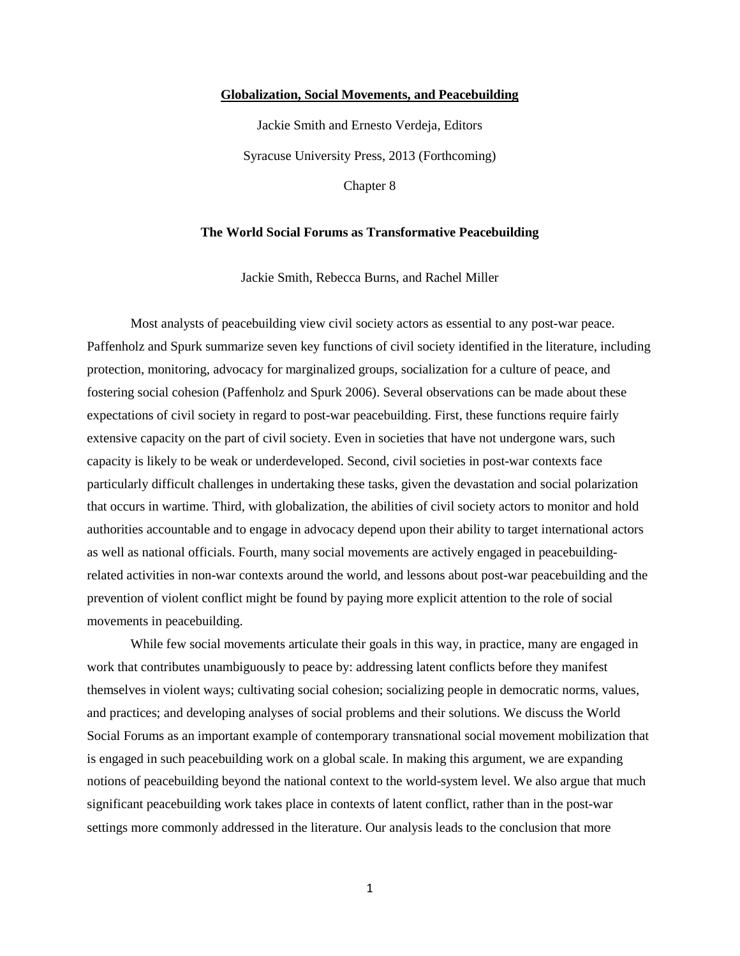#### **Globalization, Social Movements, and Peacebuilding**

Jackie Smith and Ernesto Verdeja, Editors Syracuse University Press, 2013 (Forthcoming) Chapter 8

# **The World Social Forums as Transformative Peacebuilding**

Jackie Smith, Rebecca Burns, and Rachel Miller

Most analysts of peacebuilding view civil society actors as essential to any post-war peace. Paffenholz and Spurk summarize seven key functions of civil society identified in the literature, including protection, monitoring, advocacy for marginalized groups, socialization for a culture of peace, and fostering social cohesion (Paffenholz and Spurk 2006). Several observations can be made about these expectations of civil society in regard to post-war peacebuilding. First, these functions require fairly extensive capacity on the part of civil society. Even in societies that have not undergone wars, such capacity is likely to be weak or underdeveloped. Second, civil societies in post-war contexts face particularly difficult challenges in undertaking these tasks, given the devastation and social polarization that occurs in wartime. Third, with globalization, the abilities of civil society actors to monitor and hold authorities accountable and to engage in advocacy depend upon their ability to target international actors as well as national officials. Fourth, many social movements are actively engaged in peacebuildingrelated activities in non-war contexts around the world, and lessons about post-war peacebuilding and the prevention of violent conflict might be found by paying more explicit attention to the role of social movements in peacebuilding.

While few social movements articulate their goals in this way, in practice, many are engaged in work that contributes unambiguously to peace by: addressing latent conflicts before they manifest themselves in violent ways; cultivating social cohesion; socializing people in democratic norms, values, and practices; and developing analyses of social problems and their solutions. We discuss the World Social Forums as an important example of contemporary transnational social movement mobilization that is engaged in such peacebuilding work on a global scale. In making this argument, we are expanding notions of peacebuilding beyond the national context to the world-system level. We also argue that much significant peacebuilding work takes place in contexts of latent conflict, rather than in the post-war settings more commonly addressed in the literature. Our analysis leads to the conclusion that more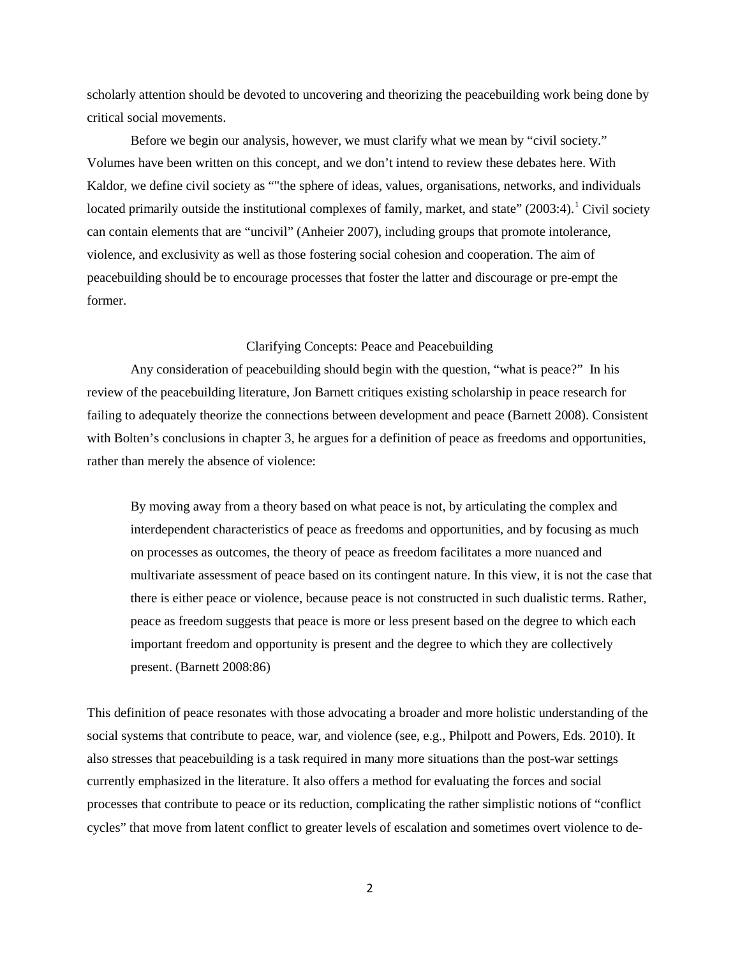scholarly attention should be devoted to uncovering and theorizing the peacebuilding work being done by critical social movements.

Before we begin our analysis, however, we must clarify what we mean by "civil society." Volumes have been written on this concept, and we don't intend to review these debates here. With Kaldor, we define civil society as ""the sphere of ideas, values, organisations, networks, and individuals located primarily outside the institutional complexes of family, market, and state" (2003:4).<sup>[1](#page-24-0)</sup> Civil society can contain elements that are "uncivil" (Anheier 2007), including groups that promote intolerance, violence, and exclusivity as well as those fostering social cohesion and cooperation. The aim of peacebuilding should be to encourage processes that foster the latter and discourage or pre-empt the former.

## Clarifying Concepts: Peace and Peacebuilding

Any consideration of peacebuilding should begin with the question, "what is peace?" In his review of the peacebuilding literature, Jon Barnett critiques existing scholarship in peace research for failing to adequately theorize the connections between development and peace (Barnett 2008). Consistent with Bolten's conclusions in chapter 3, he argues for a definition of peace as freedoms and opportunities, rather than merely the absence of violence:

By moving away from a theory based on what peace is not, by articulating the complex and interdependent characteristics of peace as freedoms and opportunities, and by focusing as much on processes as outcomes, the theory of peace as freedom facilitates a more nuanced and multivariate assessment of peace based on its contingent nature. In this view, it is not the case that there is either peace or violence, because peace is not constructed in such dualistic terms. Rather, peace as freedom suggests that peace is more or less present based on the degree to which each important freedom and opportunity is present and the degree to which they are collectively present. (Barnett 2008:86)

This definition of peace resonates with those advocating a broader and more holistic understanding of the social systems that contribute to peace, war, and violence (see, e.g., Philpott and Powers, Eds. 2010). It also stresses that peacebuilding is a task required in many more situations than the post-war settings currently emphasized in the literature. It also offers a method for evaluating the forces and social processes that contribute to peace or its reduction, complicating the rather simplistic notions of "conflict cycles" that move from latent conflict to greater levels of escalation and sometimes overt violence to de-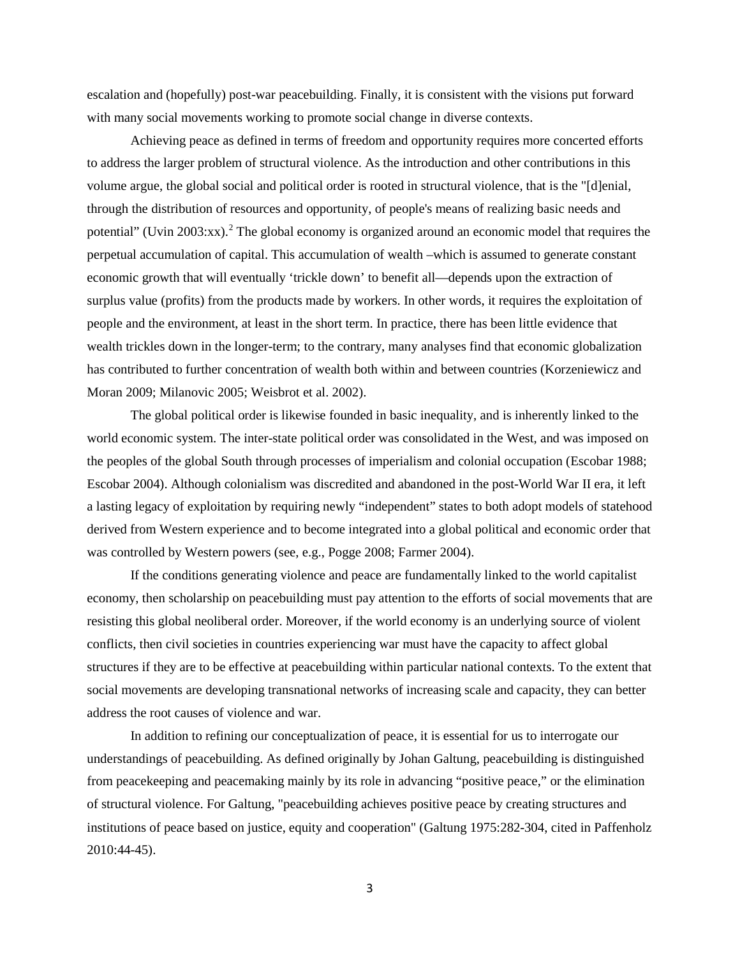escalation and (hopefully) post-war peacebuilding. Finally, it is consistent with the visions put forward with many social movements working to promote social change in diverse contexts.

Achieving peace as defined in terms of freedom and opportunity requires more concerted efforts to address the larger problem of structural violence. As the introduction and other contributions in this volume argue, the global social and political order is rooted in structural violence, that is the "[d]enial, through the distribution of resources and opportunity, of people's means of realizing basic needs and potential" (Uvin [2](#page-24-1)003:xx).<sup>2</sup> The global economy is organized around an economic model that requires the perpetual accumulation of capital. This accumulation of wealth –which is assumed to generate constant economic growth that will eventually 'trickle down' to benefit all—depends upon the extraction of surplus value (profits) from the products made by workers. In other words, it requires the exploitation of people and the environment, at least in the short term. In practice, there has been little evidence that wealth trickles down in the longer-term; to the contrary, many analyses find that economic globalization has contributed to further concentration of wealth both within and between countries (Korzeniewicz and Moran 2009; Milanovic 2005; Weisbrot et al. 2002).

The global political order is likewise founded in basic inequality, and is inherently linked to the world economic system. The inter-state political order was consolidated in the West, and was imposed on the peoples of the global South through processes of imperialism and colonial occupation (Escobar 1988; Escobar 2004). Although colonialism was discredited and abandoned in the post-World War II era, it left a lasting legacy of exploitation by requiring newly "independent" states to both adopt models of statehood derived from Western experience and to become integrated into a global political and economic order that was controlled by Western powers (see, e.g., Pogge 2008; Farmer 2004).

If the conditions generating violence and peace are fundamentally linked to the world capitalist economy, then scholarship on peacebuilding must pay attention to the efforts of social movements that are resisting this global neoliberal order. Moreover, if the world economy is an underlying source of violent conflicts, then civil societies in countries experiencing war must have the capacity to affect global structures if they are to be effective at peacebuilding within particular national contexts. To the extent that social movements are developing transnational networks of increasing scale and capacity, they can better address the root causes of violence and war.

In addition to refining our conceptualization of peace, it is essential for us to interrogate our understandings of peacebuilding. As defined originally by Johan Galtung, peacebuilding is distinguished from peacekeeping and peacemaking mainly by its role in advancing "positive peace," or the elimination of structural violence. For Galtung, "peacebuilding achieves positive peace by creating structures and institutions of peace based on justice, equity and cooperation" (Galtung 1975:282-304, cited in Paffenholz 2010:44-45).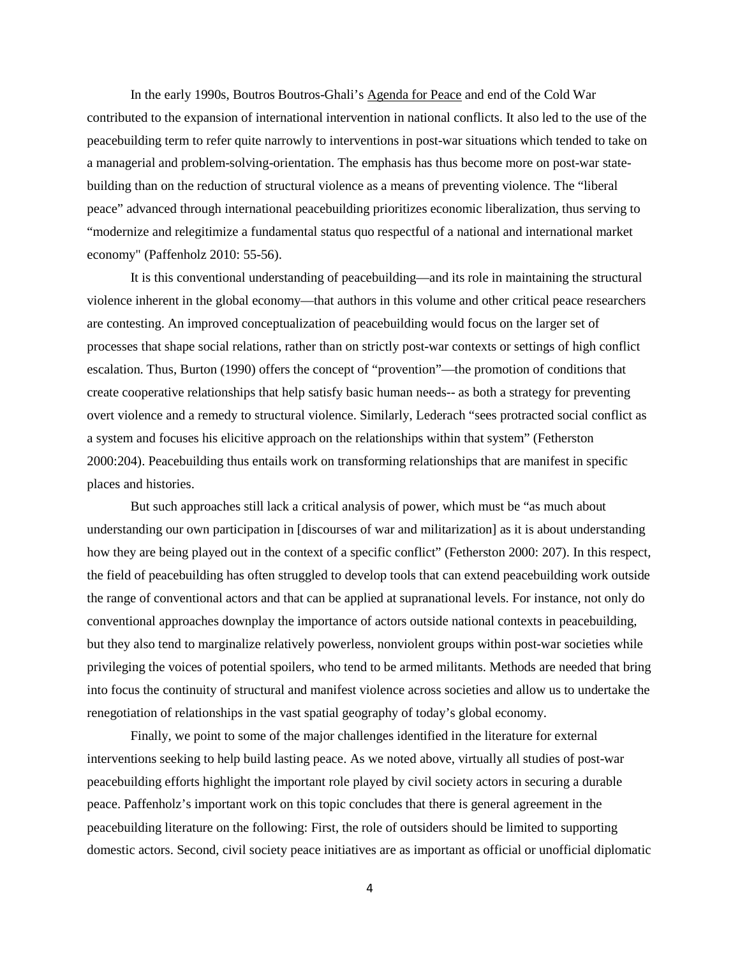In the early 1990s, Boutros Boutros-Ghali's Agenda for Peace and end of the Cold War contributed to the expansion of international intervention in national conflicts. It also led to the use of the peacebuilding term to refer quite narrowly to interventions in post-war situations which tended to take on a managerial and problem-solving-orientation. The emphasis has thus become more on post-war statebuilding than on the reduction of structural violence as a means of preventing violence. The "liberal peace" advanced through international peacebuilding prioritizes economic liberalization, thus serving to "modernize and relegitimize a fundamental status quo respectful of a national and international market economy" (Paffenholz 2010: 55-56).

It is this conventional understanding of peacebuilding—and its role in maintaining the structural violence inherent in the global economy—that authors in this volume and other critical peace researchers are contesting. An improved conceptualization of peacebuilding would focus on the larger set of processes that shape social relations, rather than on strictly post-war contexts or settings of high conflict escalation. Thus, Burton (1990) offers the concept of "provention"—the promotion of conditions that create cooperative relationships that help satisfy basic human needs-- as both a strategy for preventing overt violence and a remedy to structural violence. Similarly, Lederach "sees protracted social conflict as a system and focuses his elicitive approach on the relationships within that system" (Fetherston 2000:204). Peacebuilding thus entails work on transforming relationships that are manifest in specific places and histories.

But such approaches still lack a critical analysis of power, which must be "as much about understanding our own participation in [discourses of war and militarization] as it is about understanding how they are being played out in the context of a specific conflict" (Fetherston 2000: 207). In this respect, the field of peacebuilding has often struggled to develop tools that can extend peacebuilding work outside the range of conventional actors and that can be applied at supranational levels. For instance, not only do conventional approaches downplay the importance of actors outside national contexts in peacebuilding, but they also tend to marginalize relatively powerless, nonviolent groups within post-war societies while privileging the voices of potential spoilers, who tend to be armed militants. Methods are needed that bring into focus the continuity of structural and manifest violence across societies and allow us to undertake the renegotiation of relationships in the vast spatial geography of today's global economy.

Finally, we point to some of the major challenges identified in the literature for external interventions seeking to help build lasting peace. As we noted above, virtually all studies of post-war peacebuilding efforts highlight the important role played by civil society actors in securing a durable peace. Paffenholz's important work on this topic concludes that there is general agreement in the peacebuilding literature on the following: First, the role of outsiders should be limited to supporting domestic actors. Second, civil society peace initiatives are as important as official or unofficial diplomatic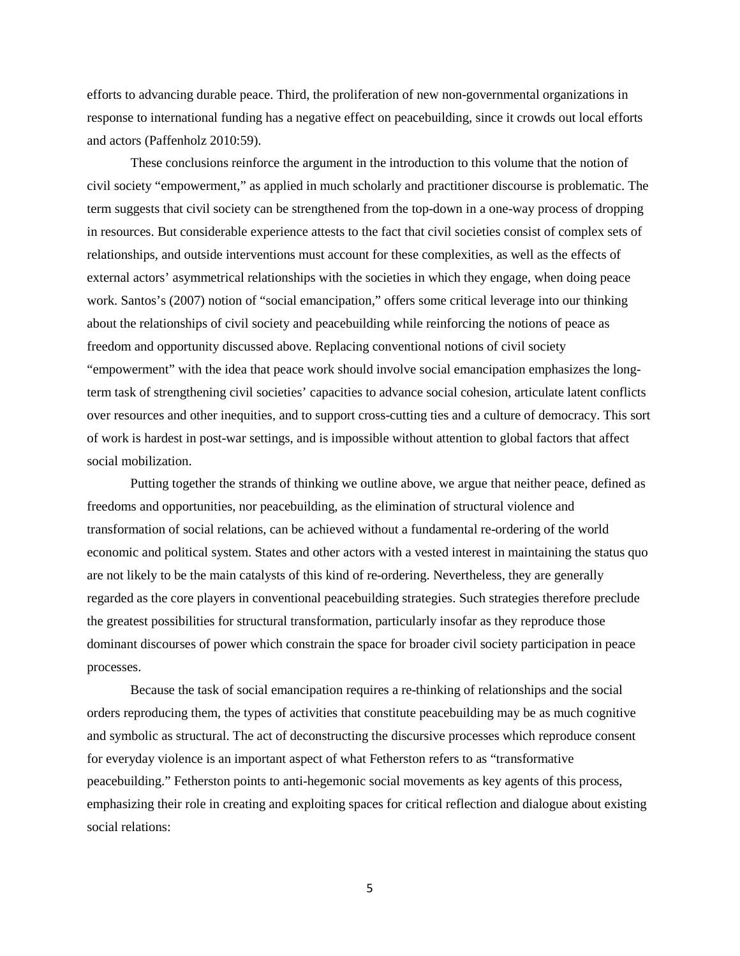efforts to advancing durable peace. Third, the proliferation of new non-governmental organizations in response to international funding has a negative effect on peacebuilding, since it crowds out local efforts and actors (Paffenholz 2010:59).

These conclusions reinforce the argument in the introduction to this volume that the notion of civil society "empowerment," as applied in much scholarly and practitioner discourse is problematic. The term suggests that civil society can be strengthened from the top-down in a one-way process of dropping in resources. But considerable experience attests to the fact that civil societies consist of complex sets of relationships, and outside interventions must account for these complexities, as well as the effects of external actors' asymmetrical relationships with the societies in which they engage, when doing peace work. Santos's (2007) notion of "social emancipation," offers some critical leverage into our thinking about the relationships of civil society and peacebuilding while reinforcing the notions of peace as freedom and opportunity discussed above. Replacing conventional notions of civil society "empowerment" with the idea that peace work should involve social emancipation emphasizes the longterm task of strengthening civil societies' capacities to advance social cohesion, articulate latent conflicts over resources and other inequities, and to support cross-cutting ties and a culture of democracy. This sort of work is hardest in post-war settings, and is impossible without attention to global factors that affect social mobilization.

Putting together the strands of thinking we outline above, we argue that neither peace, defined as freedoms and opportunities, nor peacebuilding, as the elimination of structural violence and transformation of social relations, can be achieved without a fundamental re-ordering of the world economic and political system. States and other actors with a vested interest in maintaining the status quo are not likely to be the main catalysts of this kind of re-ordering. Nevertheless, they are generally regarded as the core players in conventional peacebuilding strategies. Such strategies therefore preclude the greatest possibilities for structural transformation, particularly insofar as they reproduce those dominant discourses of power which constrain the space for broader civil society participation in peace processes.

Because the task of social emancipation requires a re-thinking of relationships and the social orders reproducing them, the types of activities that constitute peacebuilding may be as much cognitive and symbolic as structural. The act of deconstructing the discursive processes which reproduce consent for everyday violence is an important aspect of what Fetherston refers to as "transformative peacebuilding." Fetherston points to anti-hegemonic social movements as key agents of this process, emphasizing their role in creating and exploiting spaces for critical reflection and dialogue about existing social relations: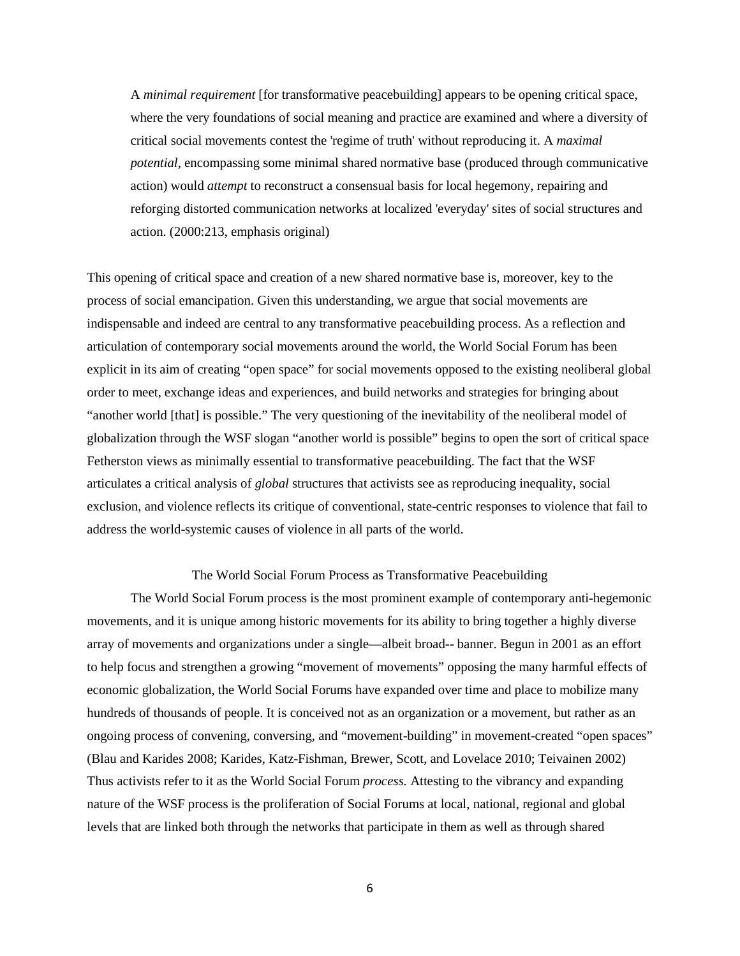A *minimal requirement* [for transformative peacebuilding] appears to be opening critical space, where the very foundations of social meaning and practice are examined and where a diversity of critical social movements contest the 'regime of truth' without reproducing it. A *maximal potential,* encompassing some minimal shared normative base (produced through communicative action) would *attempt* to reconstruct a consensual basis for local hegemony, repairing and reforging distorted communication networks at localized 'everyday' sites of social structures and action. (2000:213, emphasis original)

This opening of critical space and creation of a new shared normative base is, moreover, key to the process of social emancipation. Given this understanding, we argue that social movements are indispensable and indeed are central to any transformative peacebuilding process. As a reflection and articulation of contemporary social movements around the world, the World Social Forum has been explicit in its aim of creating "open space" for social movements opposed to the existing neoliberal global order to meet, exchange ideas and experiences, and build networks and strategies for bringing about "another world [that] is possible." The very questioning of the inevitability of the neoliberal model of globalization through the WSF slogan "another world is possible" begins to open the sort of critical space Fetherston views as minimally essential to transformative peacebuilding. The fact that the WSF articulates a critical analysis of *global* structures that activists see as reproducing inequality, social exclusion, and violence reflects its critique of conventional, state-centric responses to violence that fail to address the world-systemic causes of violence in all parts of the world.

# The World Social Forum Process as Transformative Peacebuilding

The World Social Forum process is the most prominent example of contemporary anti-hegemonic movements, and it is unique among historic movements for its ability to bring together a highly diverse array of movements and organizations under a single—albeit broad-- banner. Begun in 2001 as an effort to help focus and strengthen a growing "movement of movements" opposing the many harmful effects of economic globalization, the World Social Forums have expanded over time and place to mobilize many hundreds of thousands of people. It is conceived not as an organization or a movement, but rather as an ongoing process of convening, conversing, and "movement-building" in movement-created "open spaces" (Blau and Karides 2008; Karides, Katz-Fishman, Brewer, Scott, and Lovelace 2010; Teivainen 2002) Thus activists refer to it as the World Social Forum *process.* Attesting to the vibrancy and expanding nature of the WSF process is the proliferation of Social Forums at local, national, regional and global levels that are linked both through the networks that participate in them as well as through shared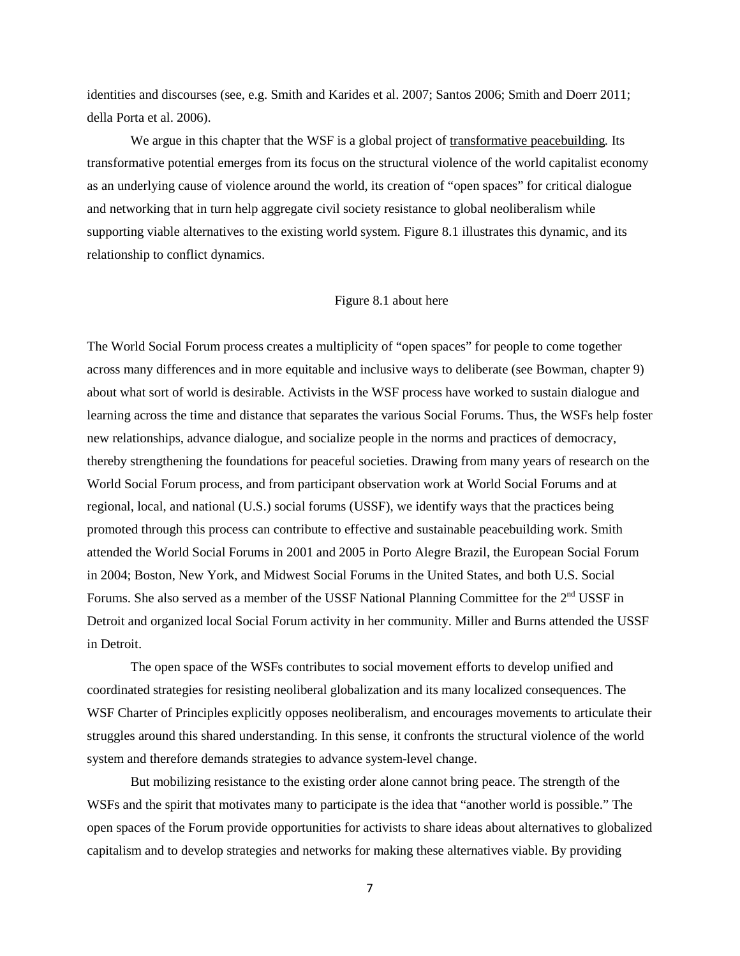identities and discourses (see, e.g. Smith and Karides et al. 2007; Santos 2006; Smith and Doerr 2011; della Porta et al. 2006).

We argue in this chapter that the WSF is a global project of transformative peacebuilding*.* Its transformative potential emerges from its focus on the structural violence of the world capitalist economy as an underlying cause of violence around the world, its creation of "open spaces" for critical dialogue and networking that in turn help aggregate civil society resistance to global neoliberalism while supporting viable alternatives to the existing world system. Figure 8.1 illustrates this dynamic, and its relationship to conflict dynamics.

# Figure 8.1 about here

The World Social Forum process creates a multiplicity of "open spaces" for people to come together across many differences and in more equitable and inclusive ways to deliberate (see Bowman, chapter 9) about what sort of world is desirable. Activists in the WSF process have worked to sustain dialogue and learning across the time and distance that separates the various Social Forums. Thus, the WSFs help foster new relationships, advance dialogue, and socialize people in the norms and practices of democracy, thereby strengthening the foundations for peaceful societies. Drawing from many years of research on the World Social Forum process, and from participant observation work at World Social Forums and at regional, local, and national (U.S.) social forums (USSF), we identify ways that the practices being promoted through this process can contribute to effective and sustainable peacebuilding work. Smith attended the World Social Forums in 2001 and 2005 in Porto Alegre Brazil, the European Social Forum in 2004; Boston, New York, and Midwest Social Forums in the United States, and both U.S. Social Forums. She also served as a member of the USSF National Planning Committee for the 2<sup>nd</sup> USSF in Detroit and organized local Social Forum activity in her community. Miller and Burns attended the USSF in Detroit.

The open space of the WSFs contributes to social movement efforts to develop unified and coordinated strategies for resisting neoliberal globalization and its many localized consequences. The WSF Charter of Principles explicitly opposes neoliberalism, and encourages movements to articulate their struggles around this shared understanding. In this sense, it confronts the structural violence of the world system and therefore demands strategies to advance system-level change.

But mobilizing resistance to the existing order alone cannot bring peace. The strength of the WSFs and the spirit that motivates many to participate is the idea that "another world is possible." The open spaces of the Forum provide opportunities for activists to share ideas about alternatives to globalized capitalism and to develop strategies and networks for making these alternatives viable. By providing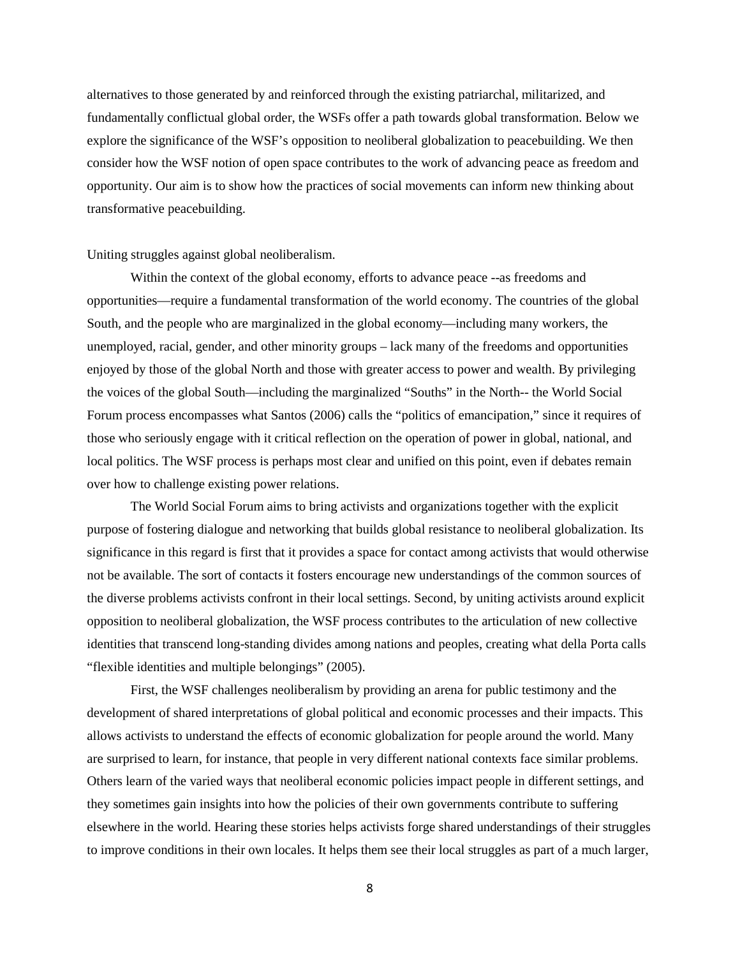alternatives to those generated by and reinforced through the existing patriarchal, militarized, and fundamentally conflictual global order, the WSFs offer a path towards global transformation. Below we explore the significance of the WSF's opposition to neoliberal globalization to peacebuilding. We then consider how the WSF notion of open space contributes to the work of advancing peace as freedom and opportunity. Our aim is to show how the practices of social movements can inform new thinking about transformative peacebuilding.

## Uniting struggles against global neoliberalism.

Within the context of the global economy, efforts to advance peace --as freedoms and opportunities—require a fundamental transformation of the world economy. The countries of the global South, and the people who are marginalized in the global economy—including many workers, the unemployed, racial, gender, and other minority groups – lack many of the freedoms and opportunities enjoyed by those of the global North and those with greater access to power and wealth. By privileging the voices of the global South—including the marginalized "Souths" in the North-- the World Social Forum process encompasses what Santos (2006) calls the "politics of emancipation," since it requires of those who seriously engage with it critical reflection on the operation of power in global, national, and local politics. The WSF process is perhaps most clear and unified on this point, even if debates remain over how to challenge existing power relations.

The World Social Forum aims to bring activists and organizations together with the explicit purpose of fostering dialogue and networking that builds global resistance to neoliberal globalization. Its significance in this regard is first that it provides a space for contact among activists that would otherwise not be available. The sort of contacts it fosters encourage new understandings of the common sources of the diverse problems activists confront in their local settings. Second, by uniting activists around explicit opposition to neoliberal globalization, the WSF process contributes to the articulation of new collective identities that transcend long-standing divides among nations and peoples, creating what della Porta calls "flexible identities and multiple belongings" (2005).

First, the WSF challenges neoliberalism by providing an arena for public testimony and the development of shared interpretations of global political and economic processes and their impacts. This allows activists to understand the effects of economic globalization for people around the world. Many are surprised to learn, for instance, that people in very different national contexts face similar problems. Others learn of the varied ways that neoliberal economic policies impact people in different settings, and they sometimes gain insights into how the policies of their own governments contribute to suffering elsewhere in the world. Hearing these stories helps activists forge shared understandings of their struggles to improve conditions in their own locales. It helps them see their local struggles as part of a much larger,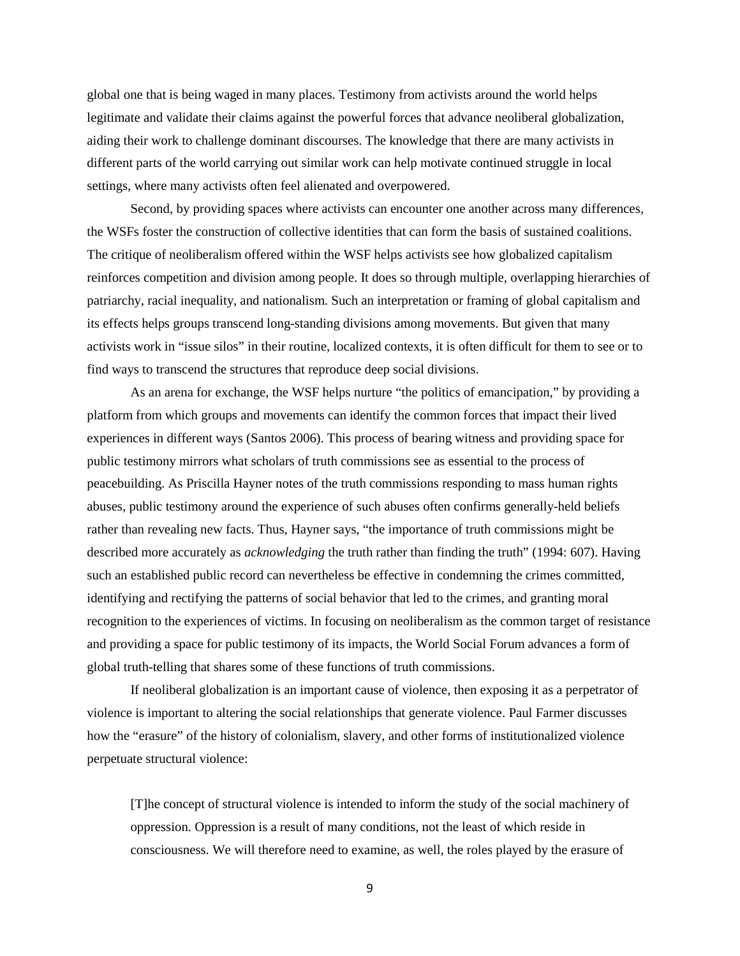global one that is being waged in many places. Testimony from activists around the world helps legitimate and validate their claims against the powerful forces that advance neoliberal globalization, aiding their work to challenge dominant discourses. The knowledge that there are many activists in different parts of the world carrying out similar work can help motivate continued struggle in local settings, where many activists often feel alienated and overpowered.

Second, by providing spaces where activists can encounter one another across many differences, the WSFs foster the construction of collective identities that can form the basis of sustained coalitions. The critique of neoliberalism offered within the WSF helps activists see how globalized capitalism reinforces competition and division among people. It does so through multiple, overlapping hierarchies of patriarchy, racial inequality, and nationalism. Such an interpretation or framing of global capitalism and its effects helps groups transcend long-standing divisions among movements. But given that many activists work in "issue silos" in their routine, localized contexts, it is often difficult for them to see or to find ways to transcend the structures that reproduce deep social divisions.

As an arena for exchange, the WSF helps nurture "the politics of emancipation," by providing a platform from which groups and movements can identify the common forces that impact their lived experiences in different ways (Santos 2006). This process of bearing witness and providing space for public testimony mirrors what scholars of truth commissions see as essential to the process of peacebuilding. As Priscilla Hayner notes of the truth commissions responding to mass human rights abuses, public testimony around the experience of such abuses often confirms generally-held beliefs rather than revealing new facts. Thus, Hayner says, "the importance of truth commissions might be described more accurately as *acknowledging* the truth rather than finding the truth" (1994: 607). Having such an established public record can nevertheless be effective in condemning the crimes committed, identifying and rectifying the patterns of social behavior that led to the crimes, and granting moral recognition to the experiences of victims. In focusing on neoliberalism as the common target of resistance and providing a space for public testimony of its impacts, the World Social Forum advances a form of global truth-telling that shares some of these functions of truth commissions.

If neoliberal globalization is an important cause of violence, then exposing it as a perpetrator of violence is important to altering the social relationships that generate violence. Paul Farmer discusses how the "erasure" of the history of colonialism, slavery, and other forms of institutionalized violence perpetuate structural violence:

[T]he concept of structural violence is intended to inform the study of the social machinery of oppression. Oppression is a result of many conditions, not the least of which reside in consciousness. We will therefore need to examine, as well, the roles played by the erasure of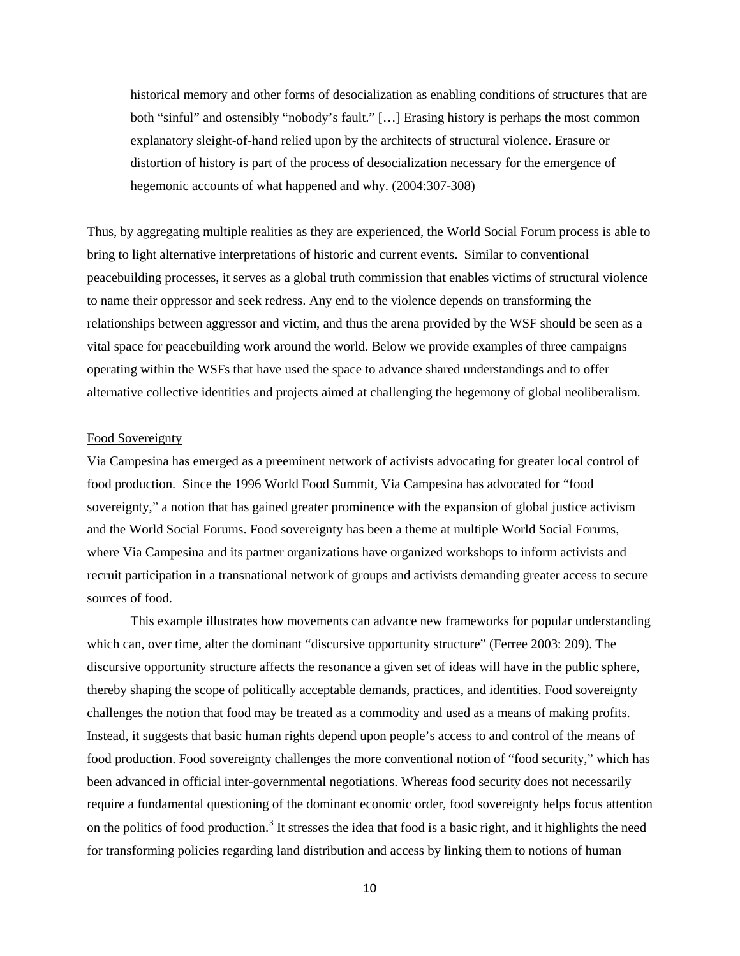historical memory and other forms of desocialization as enabling conditions of structures that are both "sinful" and ostensibly "nobody's fault." […] Erasing history is perhaps the most common explanatory sleight-of-hand relied upon by the architects of structural violence. Erasure or distortion of history is part of the process of desocialization necessary for the emergence of hegemonic accounts of what happened and why. (2004:307-308)

Thus, by aggregating multiple realities as they are experienced, the World Social Forum process is able to bring to light alternative interpretations of historic and current events. Similar to conventional peacebuilding processes, it serves as a global truth commission that enables victims of structural violence to name their oppressor and seek redress. Any end to the violence depends on transforming the relationships between aggressor and victim, and thus the arena provided by the WSF should be seen as a vital space for peacebuilding work around the world. Below we provide examples of three campaigns operating within the WSFs that have used the space to advance shared understandings and to offer alternative collective identities and projects aimed at challenging the hegemony of global neoliberalism.

### Food Sovereignty

Via Campesina has emerged as a preeminent network of activists advocating for greater local control of food production. Since the 1996 World Food Summit, Via Campesina has advocated for "food sovereignty," a notion that has gained greater prominence with the expansion of global justice activism and the World Social Forums. Food sovereignty has been a theme at multiple World Social Forums, where Via Campesina and its partner organizations have organized workshops to inform activists and recruit participation in a transnational network of groups and activists demanding greater access to secure sources of food.

This example illustrates how movements can advance new frameworks for popular understanding which can, over time, alter the dominant "discursive opportunity structure" (Ferree 2003: 209). The discursive opportunity structure affects the resonance a given set of ideas will have in the public sphere, thereby shaping the scope of politically acceptable demands, practices, and identities. Food sovereignty challenges the notion that food may be treated as a commodity and used as a means of making profits. Instead, it suggests that basic human rights depend upon people's access to and control of the means of food production. Food sovereignty challenges the more conventional notion of "food security," which has been advanced in official inter-governmental negotiations. Whereas food security does not necessarily require a fundamental questioning of the dominant economic order, food sovereignty helps focus attention on the politics of food production.<sup>[3](#page-24-2)</sup> It stresses the idea that food is a basic right, and it highlights the need for transforming policies regarding land distribution and access by linking them to notions of human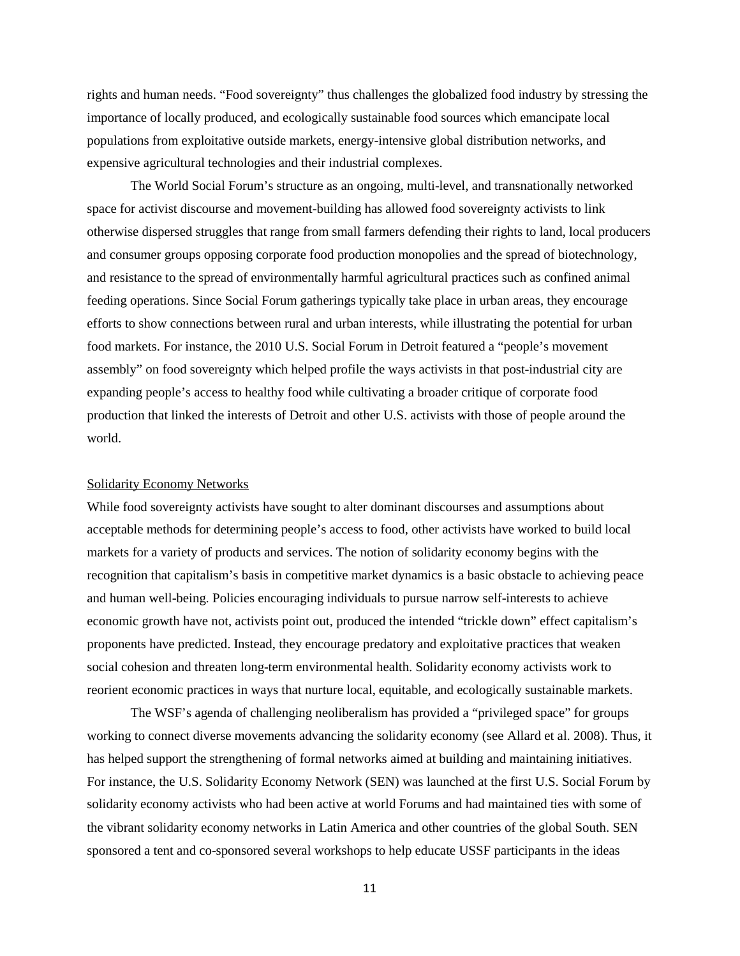rights and human needs. "Food sovereignty" thus challenges the globalized food industry by stressing the importance of locally produced, and ecologically sustainable food sources which emancipate local populations from exploitative outside markets, energy-intensive global distribution networks, and expensive agricultural technologies and their industrial complexes.

The World Social Forum's structure as an ongoing, multi-level, and transnationally networked space for activist discourse and movement-building has allowed food sovereignty activists to link otherwise dispersed struggles that range from small farmers defending their rights to land, local producers and consumer groups opposing corporate food production monopolies and the spread of biotechnology, and resistance to the spread of environmentally harmful agricultural practices such as confined animal feeding operations. Since Social Forum gatherings typically take place in urban areas, they encourage efforts to show connections between rural and urban interests, while illustrating the potential for urban food markets. For instance, the 2010 U.S. Social Forum in Detroit featured a "people's movement assembly" on food sovereignty which helped profile the ways activists in that post-industrial city are expanding people's access to healthy food while cultivating a broader critique of corporate food production that linked the interests of Detroit and other U.S. activists with those of people around the world.

#### Solidarity Economy Networks

While food sovereignty activists have sought to alter dominant discourses and assumptions about acceptable methods for determining people's access to food, other activists have worked to build local markets for a variety of products and services. The notion of solidarity economy begins with the recognition that capitalism's basis in competitive market dynamics is a basic obstacle to achieving peace and human well-being. Policies encouraging individuals to pursue narrow self-interests to achieve economic growth have not, activists point out, produced the intended "trickle down" effect capitalism's proponents have predicted. Instead, they encourage predatory and exploitative practices that weaken social cohesion and threaten long-term environmental health. Solidarity economy activists work to reorient economic practices in ways that nurture local, equitable, and ecologically sustainable markets.

The WSF's agenda of challenging neoliberalism has provided a "privileged space" for groups working to connect diverse movements advancing the solidarity economy (see Allard et al. 2008). Thus, it has helped support the strengthening of formal networks aimed at building and maintaining initiatives. For instance, the U.S. Solidarity Economy Network (SEN) was launched at the first U.S. Social Forum by solidarity economy activists who had been active at world Forums and had maintained ties with some of the vibrant solidarity economy networks in Latin America and other countries of the global South. SEN sponsored a tent and co-sponsored several workshops to help educate USSF participants in the ideas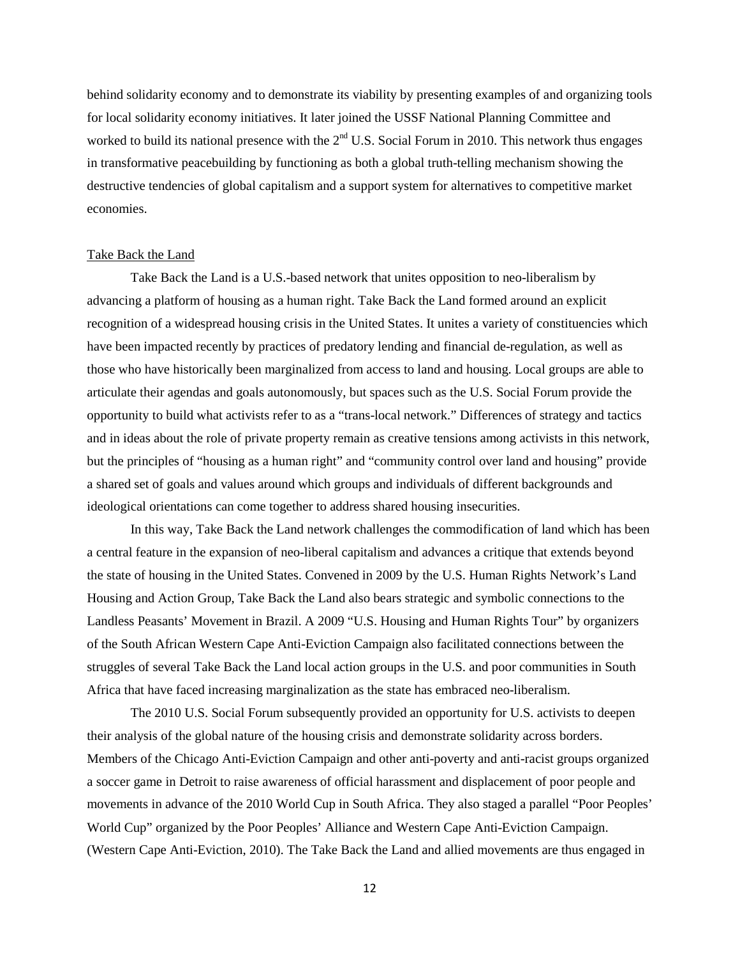behind solidarity economy and to demonstrate its viability by presenting examples of and organizing tools for local solidarity economy initiatives. It later joined the USSF National Planning Committee and worked to build its national presence with the  $2<sup>nd</sup>$  U.S. Social Forum in 2010. This network thus engages in transformative peacebuilding by functioning as both a global truth-telling mechanism showing the destructive tendencies of global capitalism and a support system for alternatives to competitive market economies.

#### Take Back the Land

Take Back the Land is a U.S.-based network that unites opposition to neo-liberalism by advancing a platform of housing as a human right. Take Back the Land formed around an explicit recognition of a widespread housing crisis in the United States. It unites a variety of constituencies which have been impacted recently by practices of predatory lending and financial de-regulation, as well as those who have historically been marginalized from access to land and housing. Local groups are able to articulate their agendas and goals autonomously, but spaces such as the U.S. Social Forum provide the opportunity to build what activists refer to as a "trans-local network." Differences of strategy and tactics and in ideas about the role of private property remain as creative tensions among activists in this network, but the principles of "housing as a human right" and "community control over land and housing" provide a shared set of goals and values around which groups and individuals of different backgrounds and ideological orientations can come together to address shared housing insecurities.

In this way, Take Back the Land network challenges the commodification of land which has been a central feature in the expansion of neo-liberal capitalism and advances a critique that extends beyond the state of housing in the United States. Convened in 2009 by the U.S. Human Rights Network's Land Housing and Action Group, Take Back the Land also bears strategic and symbolic connections to the Landless Peasants' Movement in Brazil. A 2009 "U.S. Housing and Human Rights Tour" by organizers of the South African Western Cape Anti-Eviction Campaign also facilitated connections between the struggles of several Take Back the Land local action groups in the U.S. and poor communities in South Africa that have faced increasing marginalization as the state has embraced neo-liberalism.

The 2010 U.S. Social Forum subsequently provided an opportunity for U.S. activists to deepen their analysis of the global nature of the housing crisis and demonstrate solidarity across borders. Members of the Chicago Anti-Eviction Campaign and other anti-poverty and anti-racist groups organized a soccer game in Detroit to raise awareness of official harassment and displacement of poor people and movements in advance of the 2010 World Cup in South Africa. They also staged a parallel "Poor Peoples' World Cup" organized by the Poor Peoples' Alliance and Western Cape Anti-Eviction Campaign. (Western Cape Anti-Eviction, 2010). The Take Back the Land and allied movements are thus engaged in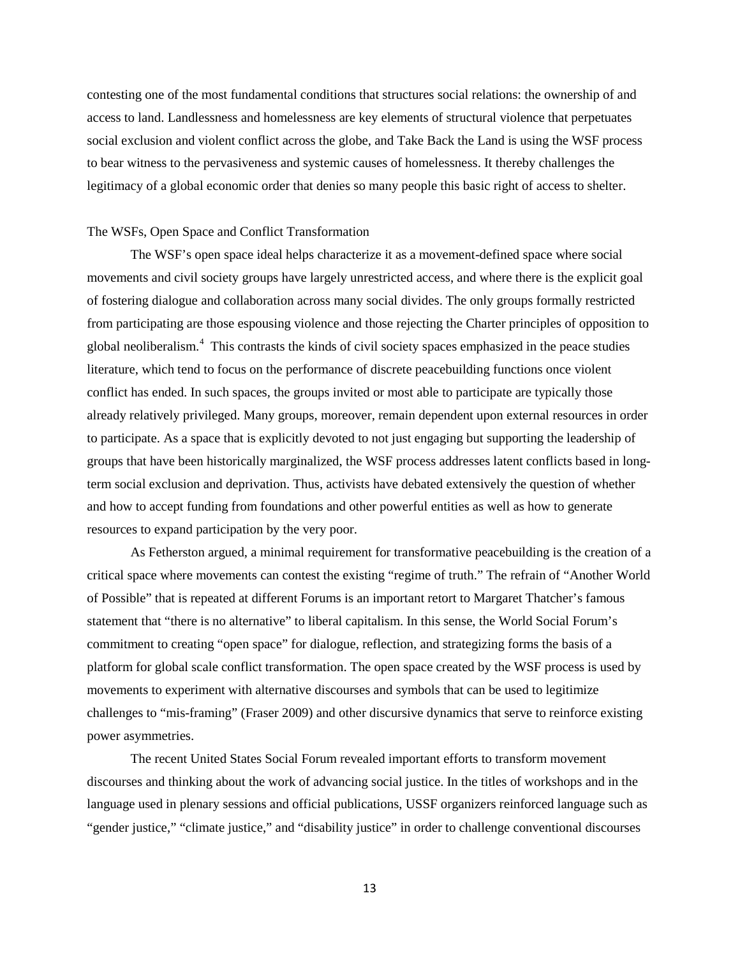contesting one of the most fundamental conditions that structures social relations: the ownership of and access to land. Landlessness and homelessness are key elements of structural violence that perpetuates social exclusion and violent conflict across the globe, and Take Back the Land is using the WSF process to bear witness to the pervasiveness and systemic causes of homelessness. It thereby challenges the legitimacy of a global economic order that denies so many people this basic right of access to shelter.

## The WSFs, Open Space and Conflict Transformation

The WSF's open space ideal helps characterize it as a movement-defined space where social movements and civil society groups have largely unrestricted access, and where there is the explicit goal of fostering dialogue and collaboration across many social divides. The only groups formally restricted from participating are those espousing violence and those rejecting the Charter principles of opposition to global neoliberalism.<sup>[4](#page-24-3)</sup> This contrasts the kinds of civil society spaces emphasized in the peace studies literature, which tend to focus on the performance of discrete peacebuilding functions once violent conflict has ended. In such spaces, the groups invited or most able to participate are typically those already relatively privileged. Many groups, moreover, remain dependent upon external resources in order to participate. As a space that is explicitly devoted to not just engaging but supporting the leadership of groups that have been historically marginalized, the WSF process addresses latent conflicts based in longterm social exclusion and deprivation. Thus, activists have debated extensively the question of whether and how to accept funding from foundations and other powerful entities as well as how to generate resources to expand participation by the very poor.

As Fetherston argued, a minimal requirement for transformative peacebuilding is the creation of a critical space where movements can contest the existing "regime of truth." The refrain of "Another World of Possible" that is repeated at different Forums is an important retort to Margaret Thatcher's famous statement that "there is no alternative" to liberal capitalism. In this sense, the World Social Forum's commitment to creating "open space" for dialogue, reflection, and strategizing forms the basis of a platform for global scale conflict transformation. The open space created by the WSF process is used by movements to experiment with alternative discourses and symbols that can be used to legitimize challenges to "mis-framing" (Fraser 2009) and other discursive dynamics that serve to reinforce existing power asymmetries.

The recent United States Social Forum revealed important efforts to transform movement discourses and thinking about the work of advancing social justice. In the titles of workshops and in the language used in plenary sessions and official publications, USSF organizers reinforced language such as "gender justice," "climate justice," and "disability justice" in order to challenge conventional discourses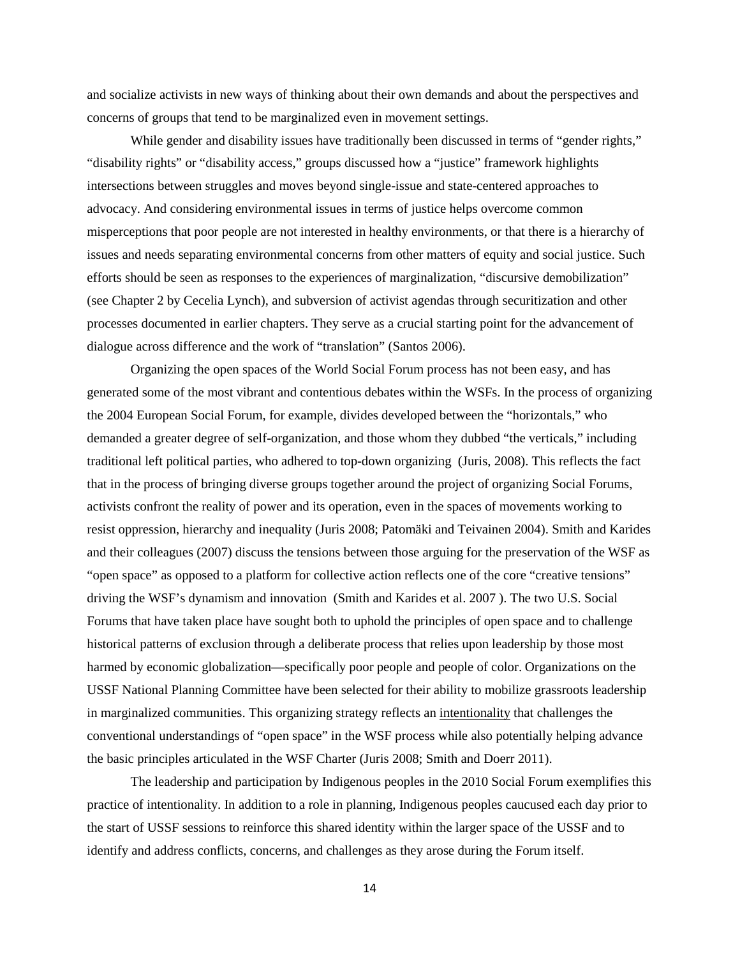and socialize activists in new ways of thinking about their own demands and about the perspectives and concerns of groups that tend to be marginalized even in movement settings.

While gender and disability issues have traditionally been discussed in terms of "gender rights," "disability rights" or "disability access," groups discussed how a "justice" framework highlights intersections between struggles and moves beyond single-issue and state-centered approaches to advocacy. And considering environmental issues in terms of justice helps overcome common misperceptions that poor people are not interested in healthy environments, or that there is a hierarchy of issues and needs separating environmental concerns from other matters of equity and social justice. Such efforts should be seen as responses to the experiences of marginalization, "discursive demobilization" (see Chapter 2 by Cecelia Lynch), and subversion of activist agendas through securitization and other processes documented in earlier chapters. They serve as a crucial starting point for the advancement of dialogue across difference and the work of "translation" (Santos 2006).

Organizing the open spaces of the World Social Forum process has not been easy, and has generated some of the most vibrant and contentious debates within the WSFs. In the process of organizing the 2004 European Social Forum, for example, divides developed between the "horizontals," who demanded a greater degree of self-organization, and those whom they dubbed "the verticals," including traditional left political parties, who adhered to top-down organizing (Juris, 2008). This reflects the fact that in the process of bringing diverse groups together around the project of organizing Social Forums, activists confront the reality of power and its operation, even in the spaces of movements working to resist oppression, hierarchy and inequality (Juris 2008; Patomäki and Teivainen 2004). Smith and Karides and their colleagues (2007) discuss the tensions between those arguing for the preservation of the WSF as "open space" as opposed to a platform for collective action reflects one of the core "creative tensions" driving the WSF's dynamism and innovation (Smith and Karides et al. 2007 ). The two U.S. Social Forums that have taken place have sought both to uphold the principles of open space and to challenge historical patterns of exclusion through a deliberate process that relies upon leadership by those most harmed by economic globalization—specifically poor people and people of color. Organizations on the USSF National Planning Committee have been selected for their ability to mobilize grassroots leadership in marginalized communities. This organizing strategy reflects an intentionality that challenges the conventional understandings of "open space" in the WSF process while also potentially helping advance the basic principles articulated in the WSF Charter (Juris 2008; Smith and Doerr 2011).

The leadership and participation by Indigenous peoples in the 2010 Social Forum exemplifies this practice of intentionality. In addition to a role in planning, Indigenous peoples caucused each day prior to the start of USSF sessions to reinforce this shared identity within the larger space of the USSF and to identify and address conflicts, concerns, and challenges as they arose during the Forum itself.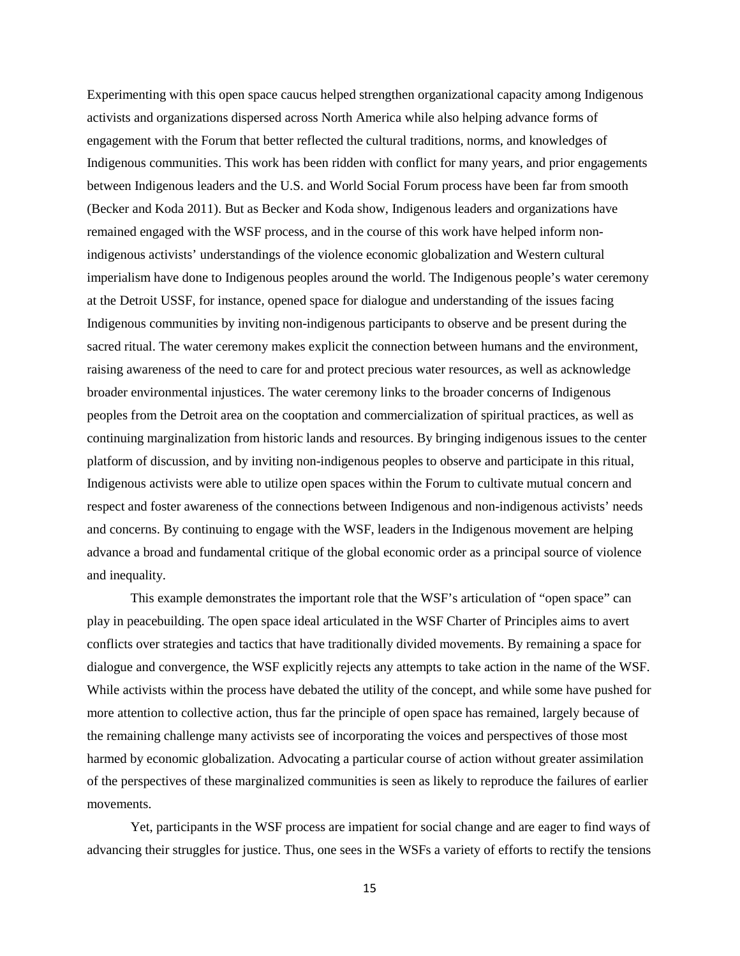Experimenting with this open space caucus helped strengthen organizational capacity among Indigenous activists and organizations dispersed across North America while also helping advance forms of engagement with the Forum that better reflected the cultural traditions, norms, and knowledges of Indigenous communities. This work has been ridden with conflict for many years, and prior engagements between Indigenous leaders and the U.S. and World Social Forum process have been far from smooth (Becker and Koda 2011). But as Becker and Koda show, Indigenous leaders and organizations have remained engaged with the WSF process, and in the course of this work have helped inform nonindigenous activists' understandings of the violence economic globalization and Western cultural imperialism have done to Indigenous peoples around the world. The Indigenous people's water ceremony at the Detroit USSF, for instance, opened space for dialogue and understanding of the issues facing Indigenous communities by inviting non-indigenous participants to observe and be present during the sacred ritual. The water ceremony makes explicit the connection between humans and the environment, raising awareness of the need to care for and protect precious water resources, as well as acknowledge broader environmental injustices. The water ceremony links to the broader concerns of Indigenous peoples from the Detroit area on the cooptation and commercialization of spiritual practices, as well as continuing marginalization from historic lands and resources. By bringing indigenous issues to the center platform of discussion, and by inviting non-indigenous peoples to observe and participate in this ritual, Indigenous activists were able to utilize open spaces within the Forum to cultivate mutual concern and respect and foster awareness of the connections between Indigenous and non-indigenous activists' needs and concerns. By continuing to engage with the WSF, leaders in the Indigenous movement are helping advance a broad and fundamental critique of the global economic order as a principal source of violence and inequality.

This example demonstrates the important role that the WSF's articulation of "open space" can play in peacebuilding. The open space ideal articulated in the WSF Charter of Principles aims to avert conflicts over strategies and tactics that have traditionally divided movements. By remaining a space for dialogue and convergence, the WSF explicitly rejects any attempts to take action in the name of the WSF. While activists within the process have debated the utility of the concept, and while some have pushed for more attention to collective action, thus far the principle of open space has remained, largely because of the remaining challenge many activists see of incorporating the voices and perspectives of those most harmed by economic globalization. Advocating a particular course of action without greater assimilation of the perspectives of these marginalized communities is seen as likely to reproduce the failures of earlier movements.

Yet, participants in the WSF process are impatient for social change and are eager to find ways of advancing their struggles for justice. Thus, one sees in the WSFs a variety of efforts to rectify the tensions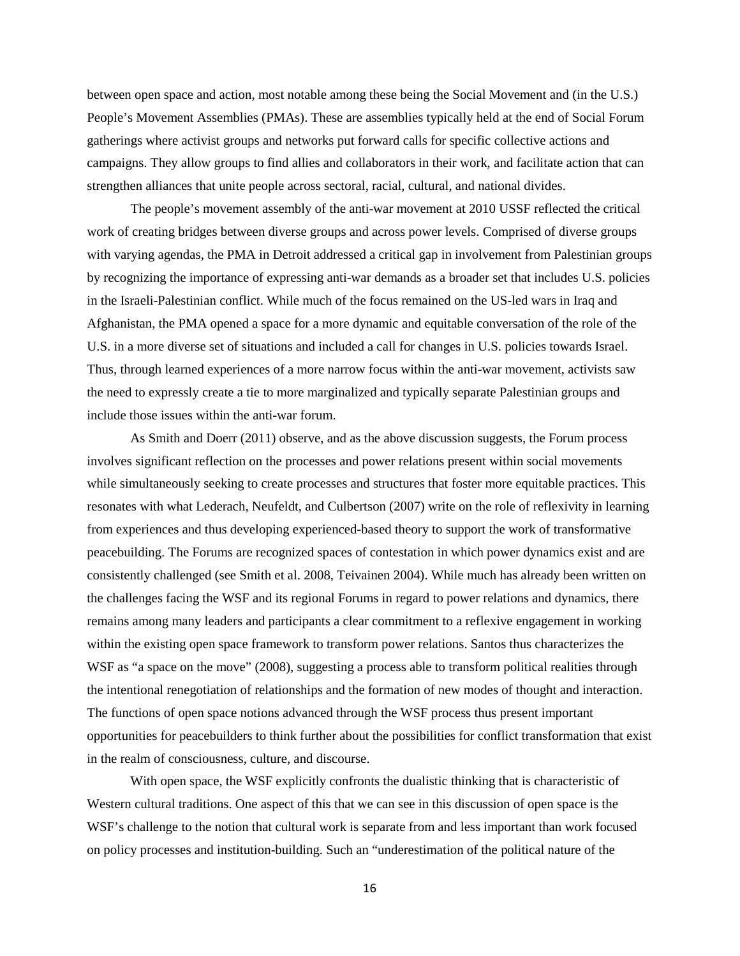between open space and action, most notable among these being the Social Movement and (in the U.S.) People's Movement Assemblies (PMAs). These are assemblies typically held at the end of Social Forum gatherings where activist groups and networks put forward calls for specific collective actions and campaigns. They allow groups to find allies and collaborators in their work, and facilitate action that can strengthen alliances that unite people across sectoral, racial, cultural, and national divides.

The people's movement assembly of the anti-war movement at 2010 USSF reflected the critical work of creating bridges between diverse groups and across power levels. Comprised of diverse groups with varying agendas, the PMA in Detroit addressed a critical gap in involvement from Palestinian groups by recognizing the importance of expressing anti-war demands as a broader set that includes U.S. policies in the Israeli-Palestinian conflict. While much of the focus remained on the US-led wars in Iraq and Afghanistan, the PMA opened a space for a more dynamic and equitable conversation of the role of the U.S. in a more diverse set of situations and included a call for changes in U.S. policies towards Israel. Thus, through learned experiences of a more narrow focus within the anti-war movement, activists saw the need to expressly create a tie to more marginalized and typically separate Palestinian groups and include those issues within the anti-war forum.

As Smith and Doerr (2011) observe, and as the above discussion suggests, the Forum process involves significant reflection on the processes and power relations present within social movements while simultaneously seeking to create processes and structures that foster more equitable practices. This resonates with what Lederach, Neufeldt, and Culbertson (2007) write on the role of reflexivity in learning from experiences and thus developing experienced-based theory to support the work of transformative peacebuilding. The Forums are recognized spaces of contestation in which power dynamics exist and are consistently challenged (see Smith et al. 2008, Teivainen 2004). While much has already been written on the challenges facing the WSF and its regional Forums in regard to power relations and dynamics, there remains among many leaders and participants a clear commitment to a reflexive engagement in working within the existing open space framework to transform power relations. Santos thus characterizes the WSF as "a space on the move" (2008), suggesting a process able to transform political realities through the intentional renegotiation of relationships and the formation of new modes of thought and interaction. The functions of open space notions advanced through the WSF process thus present important opportunities for peacebuilders to think further about the possibilities for conflict transformation that exist in the realm of consciousness, culture, and discourse.

With open space, the WSF explicitly confronts the dualistic thinking that is characteristic of Western cultural traditions. One aspect of this that we can see in this discussion of open space is the WSF's challenge to the notion that cultural work is separate from and less important than work focused on policy processes and institution-building. Such an "underestimation of the political nature of the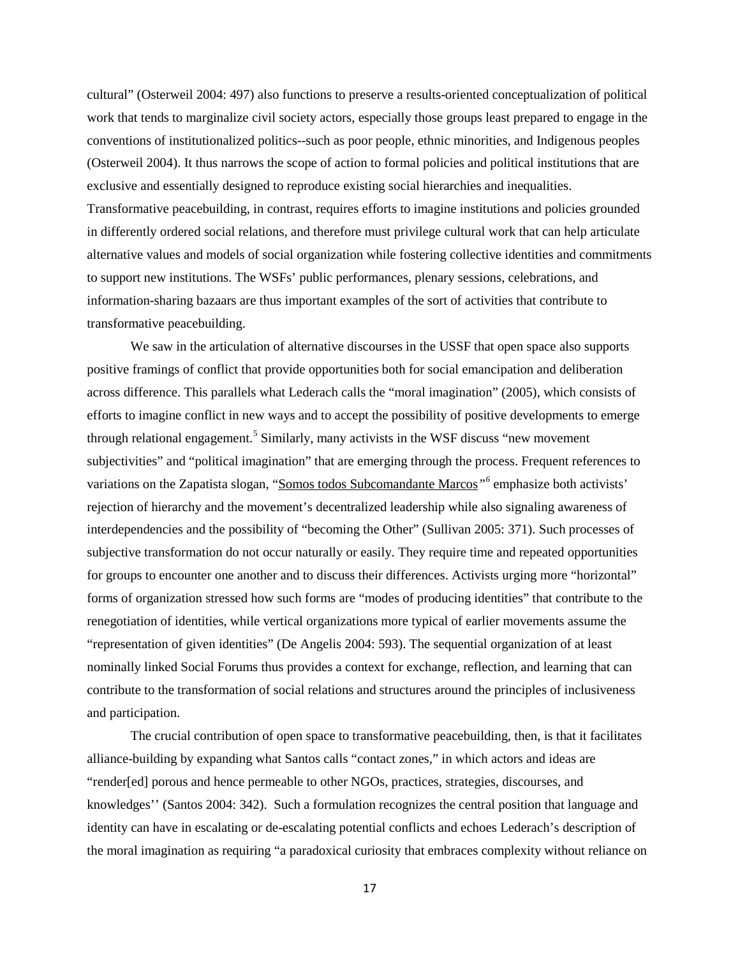cultural" (Osterweil 2004: 497) also functions to preserve a results-oriented conceptualization of political work that tends to marginalize civil society actors, especially those groups least prepared to engage in the conventions of institutionalized politics--such as poor people, ethnic minorities, and Indigenous peoples (Osterweil 2004). It thus narrows the scope of action to formal policies and political institutions that are exclusive and essentially designed to reproduce existing social hierarchies and inequalities. Transformative peacebuilding, in contrast, requires efforts to imagine institutions and policies grounded in differently ordered social relations, and therefore must privilege cultural work that can help articulate alternative values and models of social organization while fostering collective identities and commitments to support new institutions. The WSFs' public performances, plenary sessions, celebrations, and information-sharing bazaars are thus important examples of the sort of activities that contribute to transformative peacebuilding.

We saw in the articulation of alternative discourses in the USSF that open space also supports positive framings of conflict that provide opportunities both for social emancipation and deliberation across difference. This parallels what Lederach calls the "moral imagination" (2005), which consists of efforts to imagine conflict in new ways and to accept the possibility of positive developments to emerge through relational engagement.<sup>[5](#page-24-4)</sup> Similarly, many activists in the WSF discuss "new movement" subjectivities" and "political imagination" that are emerging through the process. Frequent references to variations on the Zapatista slogan, "Somos todos Subcomandante Marcos*"[6](#page-24-5)* emphasize both activists' rejection of hierarchy and the movement's decentralized leadership while also signaling awareness of interdependencies and the possibility of "becoming the Other" (Sullivan 2005: 371). Such processes of subjective transformation do not occur naturally or easily. They require time and repeated opportunities for groups to encounter one another and to discuss their differences. Activists urging more "horizontal" forms of organization stressed how such forms are "modes of producing identities" that contribute to the renegotiation of identities, while vertical organizations more typical of earlier movements assume the "representation of given identities" (De Angelis 2004: 593). The sequential organization of at least nominally linked Social Forums thus provides a context for exchange, reflection, and learning that can contribute to the transformation of social relations and structures around the principles of inclusiveness and participation.

The crucial contribution of open space to transformative peacebuilding, then, is that it facilitates alliance-building by expanding what Santos calls "contact zones," in which actors and ideas are "render[ed] porous and hence permeable to other NGOs, practices, strategies, discourses, and knowledges'' (Santos 2004: 342). Such a formulation recognizes the central position that language and identity can have in escalating or de-escalating potential conflicts and echoes Lederach's description of the moral imagination as requiring "a paradoxical curiosity that embraces complexity without reliance on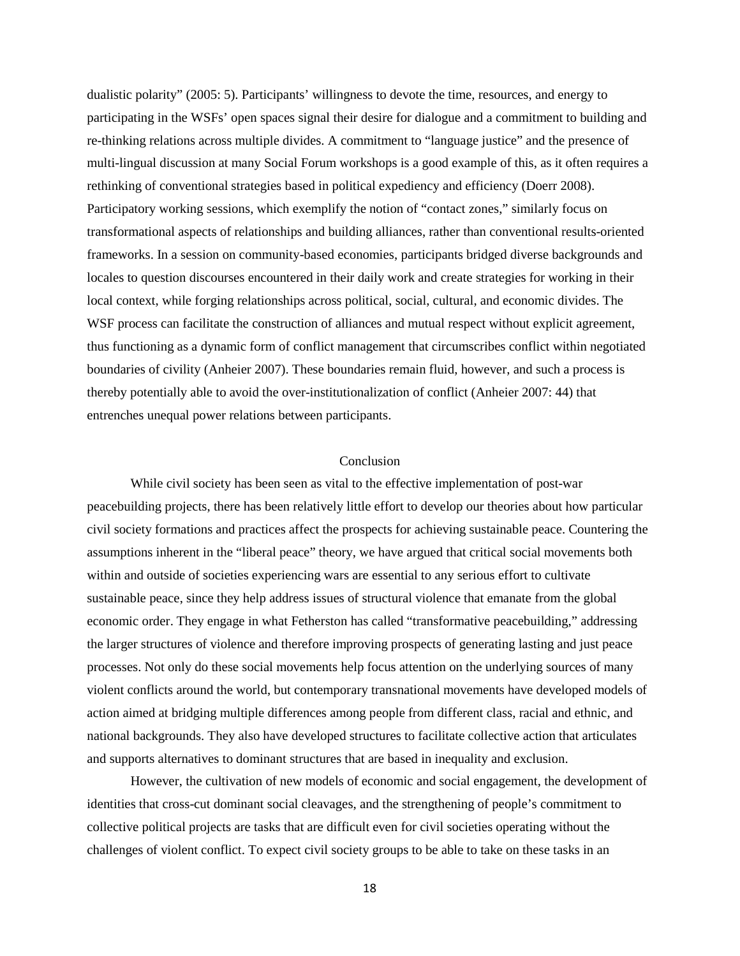dualistic polarity" (2005: 5). Participants' willingness to devote the time, resources, and energy to participating in the WSFs' open spaces signal their desire for dialogue and a commitment to building and re-thinking relations across multiple divides. A commitment to "language justice" and the presence of multi-lingual discussion at many Social Forum workshops is a good example of this, as it often requires a rethinking of conventional strategies based in political expediency and efficiency (Doerr 2008). Participatory working sessions, which exemplify the notion of "contact zones," similarly focus on transformational aspects of relationships and building alliances, rather than conventional results-oriented frameworks. In a session on community-based economies, participants bridged diverse backgrounds and locales to question discourses encountered in their daily work and create strategies for working in their local context, while forging relationships across political, social, cultural, and economic divides. The WSF process can facilitate the construction of alliances and mutual respect without explicit agreement, thus functioning as a dynamic form of conflict management that circumscribes conflict within negotiated boundaries of civility (Anheier 2007). These boundaries remain fluid, however, and such a process is thereby potentially able to avoid the over-institutionalization of conflict (Anheier 2007: 44) that entrenches unequal power relations between participants.

# **Conclusion**

While civil society has been seen as vital to the effective implementation of post-war peacebuilding projects, there has been relatively little effort to develop our theories about how particular civil society formations and practices affect the prospects for achieving sustainable peace. Countering the assumptions inherent in the "liberal peace" theory, we have argued that critical social movements both within and outside of societies experiencing wars are essential to any serious effort to cultivate sustainable peace, since they help address issues of structural violence that emanate from the global economic order. They engage in what Fetherston has called "transformative peacebuilding," addressing the larger structures of violence and therefore improving prospects of generating lasting and just peace processes. Not only do these social movements help focus attention on the underlying sources of many violent conflicts around the world, but contemporary transnational movements have developed models of action aimed at bridging multiple differences among people from different class, racial and ethnic, and national backgrounds. They also have developed structures to facilitate collective action that articulates and supports alternatives to dominant structures that are based in inequality and exclusion.

However, the cultivation of new models of economic and social engagement, the development of identities that cross-cut dominant social cleavages, and the strengthening of people's commitment to collective political projects are tasks that are difficult even for civil societies operating without the challenges of violent conflict. To expect civil society groups to be able to take on these tasks in an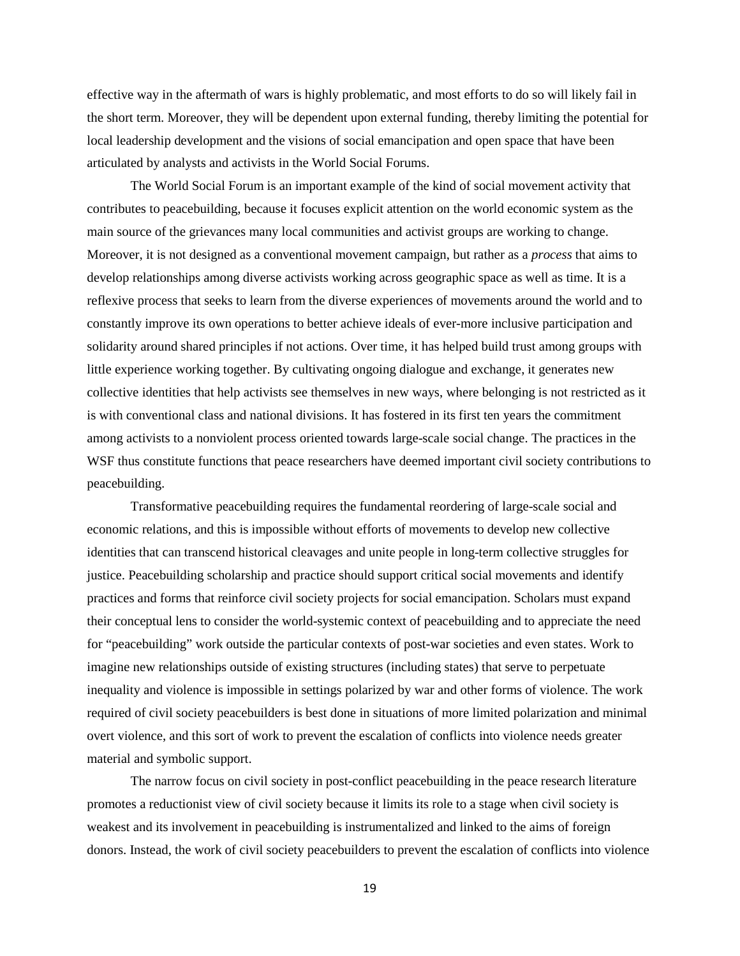effective way in the aftermath of wars is highly problematic, and most efforts to do so will likely fail in the short term. Moreover, they will be dependent upon external funding, thereby limiting the potential for local leadership development and the visions of social emancipation and open space that have been articulated by analysts and activists in the World Social Forums.

The World Social Forum is an important example of the kind of social movement activity that contributes to peacebuilding, because it focuses explicit attention on the world economic system as the main source of the grievances many local communities and activist groups are working to change. Moreover, it is not designed as a conventional movement campaign, but rather as a *process* that aims to develop relationships among diverse activists working across geographic space as well as time. It is a reflexive process that seeks to learn from the diverse experiences of movements around the world and to constantly improve its own operations to better achieve ideals of ever-more inclusive participation and solidarity around shared principles if not actions. Over time, it has helped build trust among groups with little experience working together. By cultivating ongoing dialogue and exchange, it generates new collective identities that help activists see themselves in new ways, where belonging is not restricted as it is with conventional class and national divisions. It has fostered in its first ten years the commitment among activists to a nonviolent process oriented towards large-scale social change. The practices in the WSF thus constitute functions that peace researchers have deemed important civil society contributions to peacebuilding.

Transformative peacebuilding requires the fundamental reordering of large-scale social and economic relations, and this is impossible without efforts of movements to develop new collective identities that can transcend historical cleavages and unite people in long-term collective struggles for justice. Peacebuilding scholarship and practice should support critical social movements and identify practices and forms that reinforce civil society projects for social emancipation. Scholars must expand their conceptual lens to consider the world-systemic context of peacebuilding and to appreciate the need for "peacebuilding" work outside the particular contexts of post-war societies and even states. Work to imagine new relationships outside of existing structures (including states) that serve to perpetuate inequality and violence is impossible in settings polarized by war and other forms of violence. The work required of civil society peacebuilders is best done in situations of more limited polarization and minimal overt violence, and this sort of work to prevent the escalation of conflicts into violence needs greater material and symbolic support.

The narrow focus on civil society in post-conflict peacebuilding in the peace research literature promotes a reductionist view of civil society because it limits its role to a stage when civil society is weakest and its involvement in peacebuilding is instrumentalized and linked to the aims of foreign donors. Instead, the work of civil society peacebuilders to prevent the escalation of conflicts into violence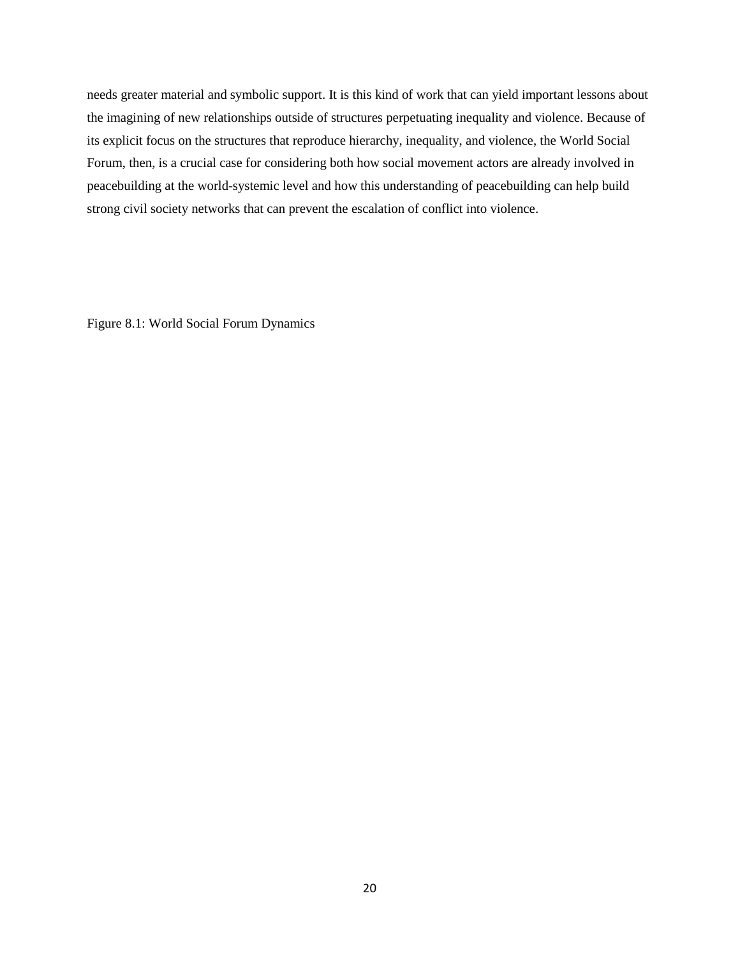needs greater material and symbolic support. It is this kind of work that can yield important lessons about the imagining of new relationships outside of structures perpetuating inequality and violence. Because of its explicit focus on the structures that reproduce hierarchy, inequality, and violence, the World Social Forum, then, is a crucial case for considering both how social movement actors are already involved in peacebuilding at the world-systemic level and how this understanding of peacebuilding can help build strong civil society networks that can prevent the escalation of conflict into violence.

Figure 8.1: World Social Forum Dynamics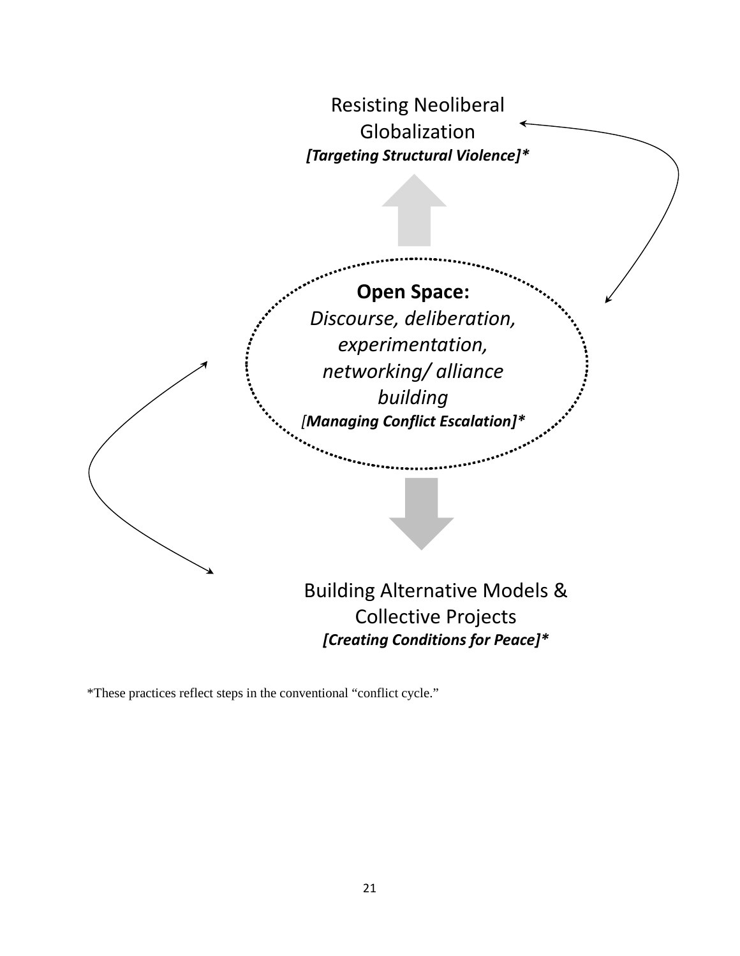

\*These practices reflect steps in the conventional "conflict cycle."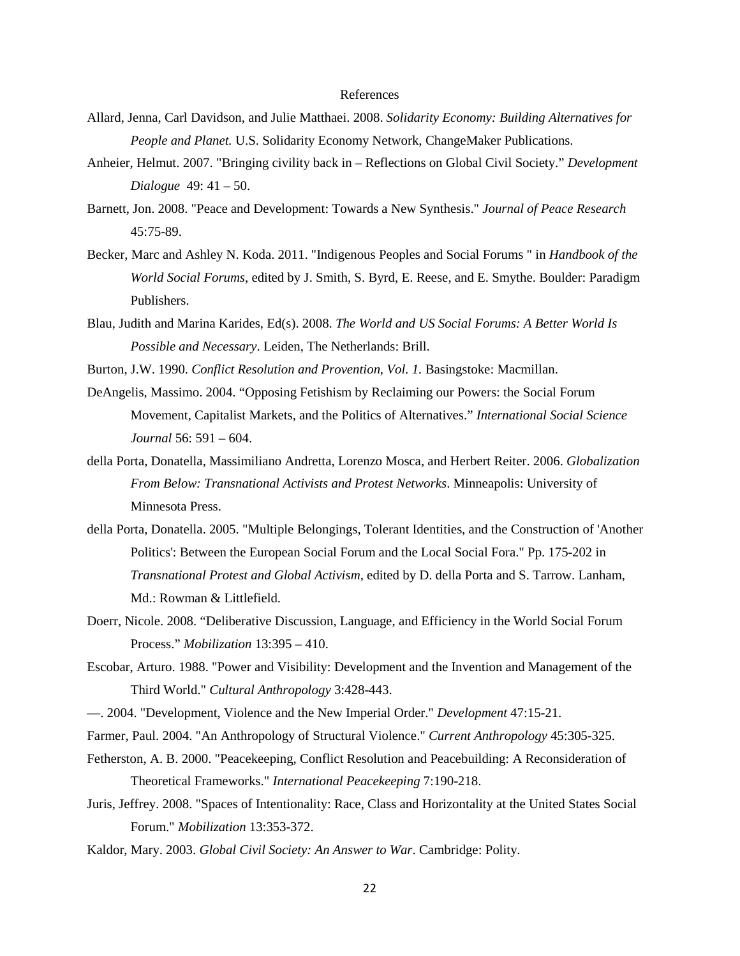#### References

- Allard, Jenna, Carl Davidson, and Julie Matthaei. 2008. *Solidarity Economy: Building Alternatives for People and Planet.* U.S. Solidarity Economy Network, ChangeMaker Publications.
- Anheier, Helmut. 2007. "Bringing civility back in Reflections on Global Civil Society." *Development Dialogue* 49: 41 – 50.
- Barnett, Jon. 2008. "Peace and Development: Towards a New Synthesis." *Journal of Peace Research* 45:75-89.
- Becker, Marc and Ashley N. Koda. 2011. "Indigenous Peoples and Social Forums " in *Handbook of the World Social Forums*, edited by J. Smith, S. Byrd, E. Reese, and E. Smythe. Boulder: Paradigm Publishers.
- Blau, Judith and Marina Karides, Ed(s). 2008. *The World and US Social Forums: A Better World Is Possible and Necessary*. Leiden, The Netherlands: Brill.
- Burton, J.W. 1990. *Conflict Resolution and Provention, Vol. 1.* Basingstoke: Macmillan.
- DeAngelis, Massimo. 2004. "Opposing Fetishism by Reclaiming our Powers: the Social Forum Movement, Capitalist Markets, and the Politics of Alternatives." *International Social Science Journal* 56: 591 – 604.
- della Porta, Donatella, Massimiliano Andretta, Lorenzo Mosca, and Herbert Reiter. 2006. *Globalization From Below: Transnational Activists and Protest Networks*. Minneapolis: University of Minnesota Press.
- della Porta, Donatella. 2005. "Multiple Belongings, Tolerant Identities, and the Construction of 'Another Politics': Between the European Social Forum and the Local Social Fora." Pp. 175-202 in *Transnational Protest and Global Activism*, edited by D. della Porta and S. Tarrow. Lanham, Md.: Rowman & Littlefield.
- Doerr, Nicole. 2008. "Deliberative Discussion, Language, and Efficiency in the World Social Forum Process." *Mobilization* 13:395 – 410.
- Escobar, Arturo. 1988. "Power and Visibility: Development and the Invention and Management of the Third World." *Cultural Anthropology* 3:428-443.
- —. 2004. "Development, Violence and the New Imperial Order." *Development* 47:15-21.
- Farmer, Paul. 2004. "An Anthropology of Structural Violence." *Current Anthropology* 45:305-325.
- Fetherston, A. B. 2000. "Peacekeeping, Conflict Resolution and Peacebuilding: A Reconsideration of Theoretical Frameworks." *International Peacekeeping* 7:190-218.
- Juris, Jeffrey. 2008. "Spaces of Intentionality: Race, Class and Horizontality at the United States Social Forum." *Mobilization* 13:353-372.
- Kaldor, Mary. 2003. *Global Civil Society: An Answer to War*. Cambridge: Polity.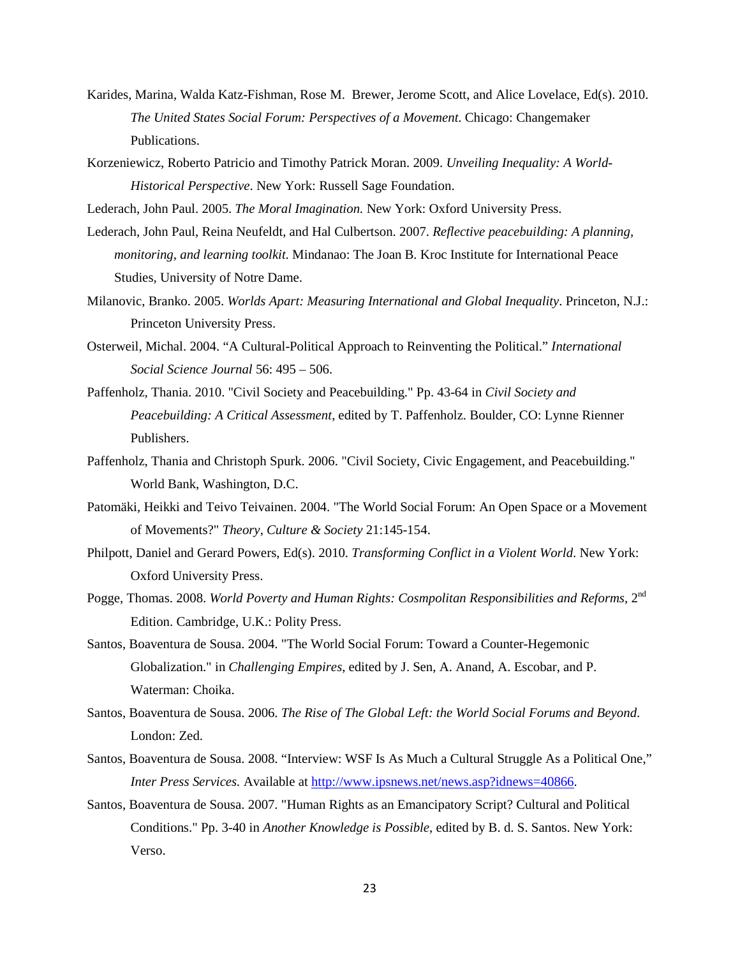- Karides, Marina, Walda Katz-Fishman, Rose M. Brewer, Jerome Scott, and Alice Lovelace, Ed(s). 2010. *The United States Social Forum: Perspectives of a Movement*. Chicago: Changemaker Publications.
- Korzeniewicz, Roberto Patricio and Timothy Patrick Moran. 2009. *Unveiling Inequality: A World-Historical Perspective*. New York: Russell Sage Foundation.
- Lederach, John Paul. 2005. *The Moral Imagination.* New York: Oxford University Press.
- Lederach, John Paul, Reina Neufeldt, and Hal Culbertson. 2007. *Reflective peacebuilding: A planning, monitoring, and learning toolkit.* Mindanao: The Joan B. Kroc Institute for International Peace Studies, University of Notre Dame.
- Milanovic, Branko. 2005. *Worlds Apart: Measuring International and Global Inequality*. Princeton, N.J.: Princeton University Press.
- Osterweil, Michal. 2004. "A Cultural-Political Approach to Reinventing the Political." *International Social Science Journal* 56: 495 – 506.
- Paffenholz, Thania. 2010. "Civil Society and Peacebuilding." Pp. 43-64 in *Civil Society and Peacebuilding: A Critical Assessment*, edited by T. Paffenholz. Boulder, CO: Lynne Rienner Publishers.
- Paffenholz, Thania and Christoph Spurk. 2006. "Civil Society, Civic Engagement, and Peacebuilding." World Bank, Washington, D.C.
- Patomäki, Heikki and Teivo Teivainen. 2004. "The World Social Forum: An Open Space or a Movement of Movements?" *Theory, Culture & Society* 21:145-154.
- Philpott, Daniel and Gerard Powers, Ed(s). 2010. *Transforming Conflict in a Violent World*. New York: Oxford University Press.
- Pogge, Thomas. 2008. *World Poverty and Human Rights: Cosmpolitan Responsibilities and Reforms*, 2nd Edition. Cambridge, U.K.: Polity Press.
- Santos, Boaventura de Sousa. 2004. "The World Social Forum: Toward a Counter-Hegemonic Globalization." in *Challenging Empires*, edited by J. Sen, A. Anand, A. Escobar, and P. Waterman: Choika.
- Santos, Boaventura de Sousa. 2006. *The Rise of The Global Left: the World Social Forums and Beyond*. London: Zed.
- Santos, Boaventura de Sousa. 2008. "Interview: WSF Is As Much a Cultural Struggle As a Political One," *Inter Press Services.* Available at [http://www.ipsnews.net/news.asp?idnews=40866.](http://www.ipsnews.net/news.asp?idnews=40866)
- Santos, Boaventura de Sousa. 2007. "Human Rights as an Emancipatory Script? Cultural and Political Conditions." Pp. 3-40 in *Another Knowledge is Possible*, edited by B. d. S. Santos. New York: Verso.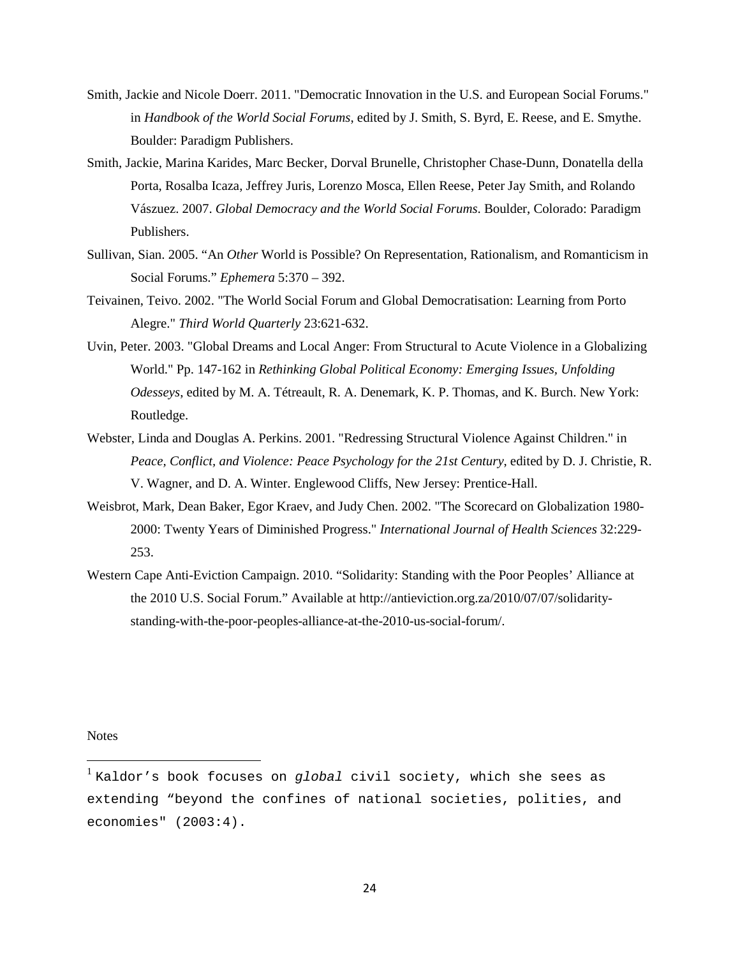- Smith, Jackie and Nicole Doerr. 2011. "Democratic Innovation in the U.S. and European Social Forums." in *Handbook of the World Social Forums*, edited by J. Smith, S. Byrd, E. Reese, and E. Smythe. Boulder: Paradigm Publishers.
- Smith, Jackie, Marina Karides, Marc Becker, Dorval Brunelle, Christopher Chase-Dunn, Donatella della Porta, Rosalba Icaza, Jeffrey Juris, Lorenzo Mosca, Ellen Reese, Peter Jay Smith, and Rolando Vászuez. 2007. *Global Democracy and the World Social Forums*. Boulder, Colorado: Paradigm Publishers.
- Sullivan, Sian. 2005. "An *Other* World is Possible? On Representation, Rationalism, and Romanticism in Social Forums." *Ephemera* 5:370 – 392.
- Teivainen, Teivo. 2002. "The World Social Forum and Global Democratisation: Learning from Porto Alegre." *Third World Quarterly* 23:621-632.
- Uvin, Peter. 2003. "Global Dreams and Local Anger: From Structural to Acute Violence in a Globalizing World." Pp. 147-162 in *Rethinking Global Political Economy: Emerging Issues, Unfolding Odesseys*, edited by M. A. Tétreault, R. A. Denemark, K. P. Thomas, and K. Burch. New York: Routledge.
- Webster, Linda and Douglas A. Perkins. 2001. "Redressing Structural Violence Against Children." in *Peace, Conflict, and Violence: Peace Psychology for the 21st Century*, edited by D. J. Christie, R. V. Wagner, and D. A. Winter. Englewood Cliffs, New Jersey: Prentice-Hall.
- Weisbrot, Mark, Dean Baker, Egor Kraev, and Judy Chen. 2002. "The Scorecard on Globalization 1980- 2000: Twenty Years of Diminished Progress." *International Journal of Health Sciences* 32:229- 253.
- Western Cape Anti-Eviction Campaign. 2010. "Solidarity: Standing with the Poor Peoples' Alliance at the 2010 U.S. Social Forum." Available at http://antieviction.org.za/2010/07/07/solidaritystanding-with-the-poor-peoples-alliance-at-the-2010-us-social-forum/.

**Notes** 

 $\overline{\phantom{a}}$ 

<sup>1</sup> Kaldor's book focuses on *global* civil society, which she sees as extending "beyond the confines of national societies, polities, and economies" (2003:4).